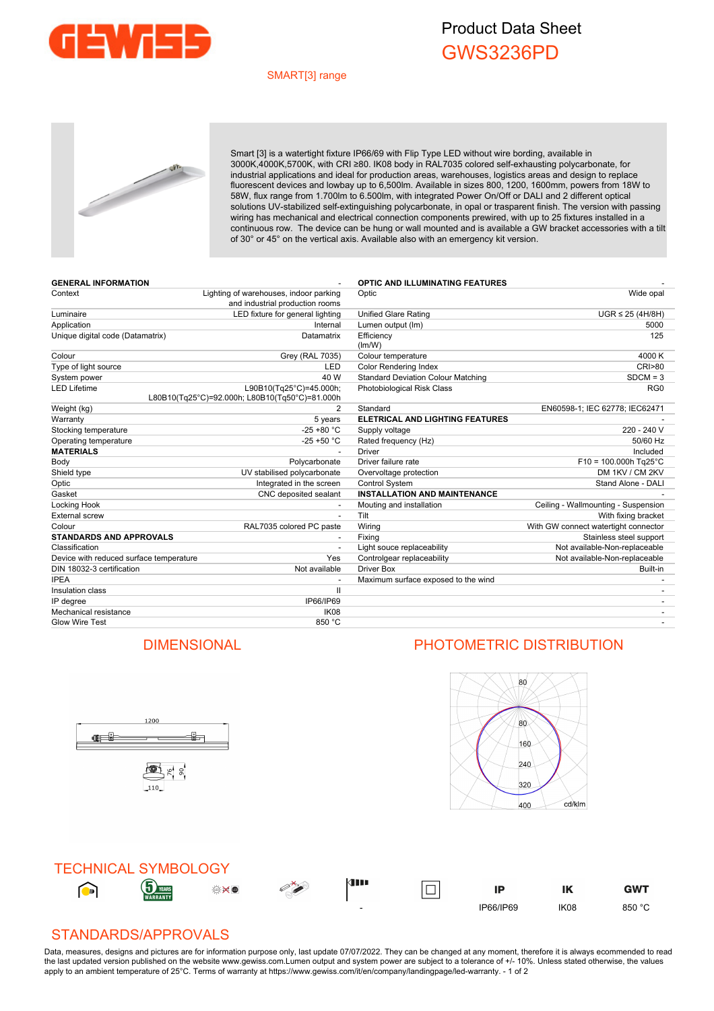

## Product Data Sheet GWS3236PD

#### SMART[3] range



Smart [3] is a watertight fixture IP66/69 with Flip Type LED without wire bording, available in 3000K,4000K,5700K, with CRI ≥80. IK08 body in RAL7035 colored self-exhausting polycarbonate, for industrial applications and ideal for production areas, warehouses, logistics areas and design to replace fluorescent devices and lowbay up to 6,500lm. Available in sizes 800, 1200, 1600mm, powers from 18W to 58W, flux range from 1.700lm to 6.500lm, with integrated Power On/Off or DALI and 2 different optical solutions UV-stabilized self-extinguishing polycarbonate, in opal or trasparent finish. The version with passing wiring has mechanical and electrical connection components prewired, with up to 25 fixtures installed in a continuous row. The device can be hung or wall mounted and is available a GW bracket accessories with a tilt of 30° or 45° on the vertical axis. Available also with an emergency kit version.

| <b>GENERAL INFORMATION</b>              |                                                                           | <b>OPTIC AND ILLUMINATING FEATURES</b>    |                                      |
|-----------------------------------------|---------------------------------------------------------------------------|-------------------------------------------|--------------------------------------|
| Context                                 | Lighting of warehouses, indoor parking<br>and industrial production rooms | Optic                                     | Wide opal                            |
| Luminaire                               | LED fixture for general lighting                                          | <b>Unified Glare Rating</b>               | $UGR \leq 25$ (4H/8H)                |
| Application                             | Internal                                                                  | Lumen output (Im)                         | 5000                                 |
| Unique digital code (Datamatrix)        | Datamatrix                                                                | Efficiency<br>(lm/W)                      | 125                                  |
| Colour                                  | <b>Grey (RAL 7035)</b>                                                    | Colour temperature                        | 4000 K                               |
| Type of light source                    | <b>LED</b>                                                                | <b>Color Rendering Index</b>              | <b>CRI&gt;80</b>                     |
| System power                            | 40 W                                                                      | <b>Standard Deviation Colour Matching</b> | $SDCM = 3$                           |
| <b>LED Lifetime</b>                     | L90B10(Tg25°C)=45.000h;<br>L80B10(Tq25°C)=92.000h; L80B10(Tq50°C)=81.000h | <b>Photobiological Risk Class</b>         | RG <sub>0</sub>                      |
| Weight (kg)                             | $\overline{2}$                                                            | Standard                                  | EN60598-1; IEC 62778; IEC62471       |
| Warranty                                | 5 years                                                                   | ELETRICAL AND LIGHTING FEATURES           |                                      |
| Stocking temperature                    | $-25 + 80 °C$                                                             | Supply voltage                            | 220 - 240 V                          |
| Operating temperature                   | $-25 + 50$ °C                                                             | Rated frequency (Hz)                      | 50/60 Hz                             |
| <b>MATERIALS</b>                        |                                                                           | Driver                                    | Included                             |
| Body                                    | Polycarbonate                                                             | Driver failure rate                       | $F10 = 100.000h$ Tg25°C              |
| Shield type                             | UV stabilised polycarbonate                                               | Overvoltage protection                    | DM 1KV / CM 2KV                      |
| Optic                                   | Integrated in the screen                                                  | Control System                            | Stand Alone - DALI                   |
| Gasket                                  | CNC deposited sealant                                                     | <b>INSTALLATION AND MAINTENANCE</b>       |                                      |
| Locking Hook                            |                                                                           | Mouting and installation                  | Ceiling - Wallmounting - Suspension  |
| <b>External screw</b>                   | $\overline{\phantom{a}}$                                                  | Tilt                                      | With fixing bracket                  |
| Colour                                  | RAL7035 colored PC paste                                                  | Wiring                                    | With GW connect watertight connector |
| <b>STANDARDS AND APPROVALS</b>          |                                                                           | Fixing                                    | Stainless steel support              |
| Classification                          |                                                                           | Light souce replaceability                | Not available-Non-replaceable        |
| Device with reduced surface temperature | Yes                                                                       | Controlgear replaceability                | Not available-Non-replaceable        |
| DIN 18032-3 certification               | Not available                                                             | <b>Driver Box</b>                         | Built-in                             |
| <b>IPEA</b>                             |                                                                           | Maximum surface exposed to the wind       |                                      |
| Insulation class                        | $\mathbf{H}$                                                              |                                           |                                      |
| IP degree                               | IP66/IP69                                                                 |                                           | $\overline{\phantom{a}}$             |
| Mechanical resistance                   | IK <sub>08</sub>                                                          |                                           |                                      |
| <b>Glow Wire Test</b>                   | 850 °C                                                                    |                                           |                                      |

### DIMENSIONAL PHOTOMETRIC DISTRIBUTION

ů.

1200

雪片。

110

<u>ge j</u>





### STANDARDS/APPROVALS

Data, measures, designs and pictures are for information purpose only, last update 07/07/2022. They can be changed at any moment, therefore it is always ecommended to read the last updated version published on the website www.gewiss.com.Lumen output and system power are subject to a tolerance of +/- 10%. Unless stated otherwise, the values apply to an ambient temperature of 25°C. Terms of warranty at https://www.gewiss.com/it/en/company/landingpage/led-warranty. - 1 of 2